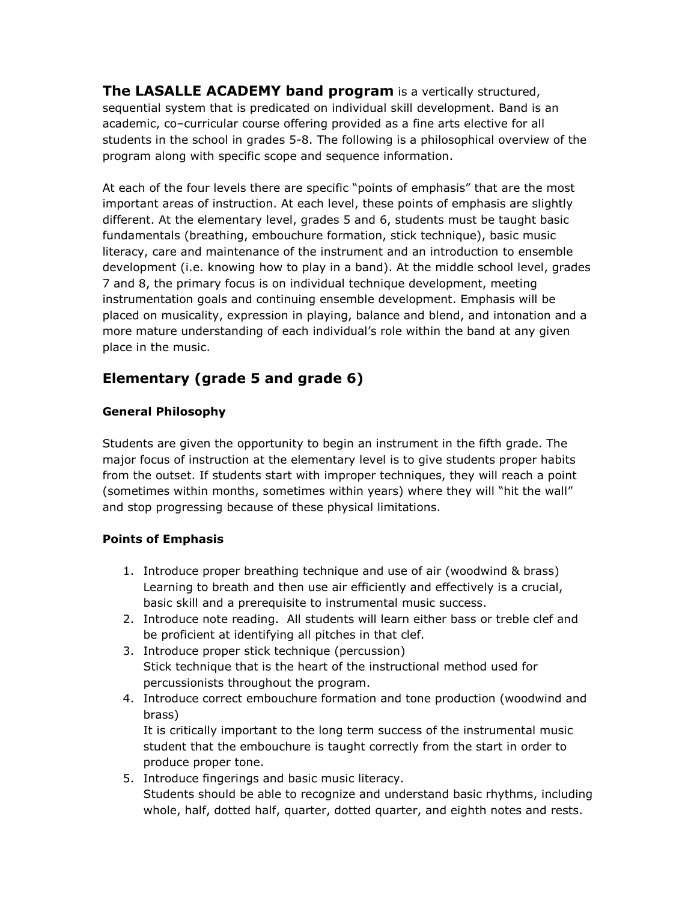**The LASALLE ACADEMY band program** is a vertically structured, sequential system that is predicated on individual skill development. Band is an academic, co–curricular course offering provided as a fine arts elective for all students in the school in grades 5-8. The following is a philosophical overview of the program along with specific scope and sequence information.

At each of the four levels there are specific "points of emphasis" that are the most important areas of instruction. At each level, these points of emphasis are slightly different. At the elementary level, grades 5 and 6, students must be taught basic fundamentals (breathing, embouchure formation, stick technique), basic music literacy, care and maintenance of the instrument and an introduction to ensemble development (i.e. knowing how to play in a band). At the middle school level, grades 7 and 8, the primary focus is on individual technique development, meeting instrumentation goals and continuing ensemble development. Emphasis will be placed on musicality, expression in playing, balance and blend, and intonation and a more mature understanding of each individual's role within the band at any given place in the music.

# **Elementary (grade 5 and grade 6)**

#### **General Philosophy**

Students are given the opportunity to begin an instrument in the fifth grade. The major focus of instruction at the elementary level is to give students proper habits from the outset. If students start with improper techniques, they will reach a point (sometimes within months, sometimes within years) where they will "hit the wall" and stop progressing because of these physical limitations.

#### **Points of Emphasis**

- 1. Introduce proper breathing technique and use of air (woodwind & brass) Learning to breath and then use air efficiently and effectively is a crucial, basic skill and a prerequisite to instrumental music success.
- 2. Introduce note reading. All students will learn either bass or treble clef and be proficient at identifying all pitches in that clef.
- 3. Introduce proper stick technique (percussion) Stick technique that is the heart of the instructional method used for percussionists throughout the program.
- 4. Introduce correct embouchure formation and tone production (woodwind and brass)

It is critically important to the long term success of the instrumental music student that the embouchure is taught correctly from the start in order to produce proper tone.

5. Introduce fingerings and basic music literacy. Students should be able to recognize and understand basic rhythms, including whole, half, dotted half, quarter, dotted quarter, and eighth notes and rests.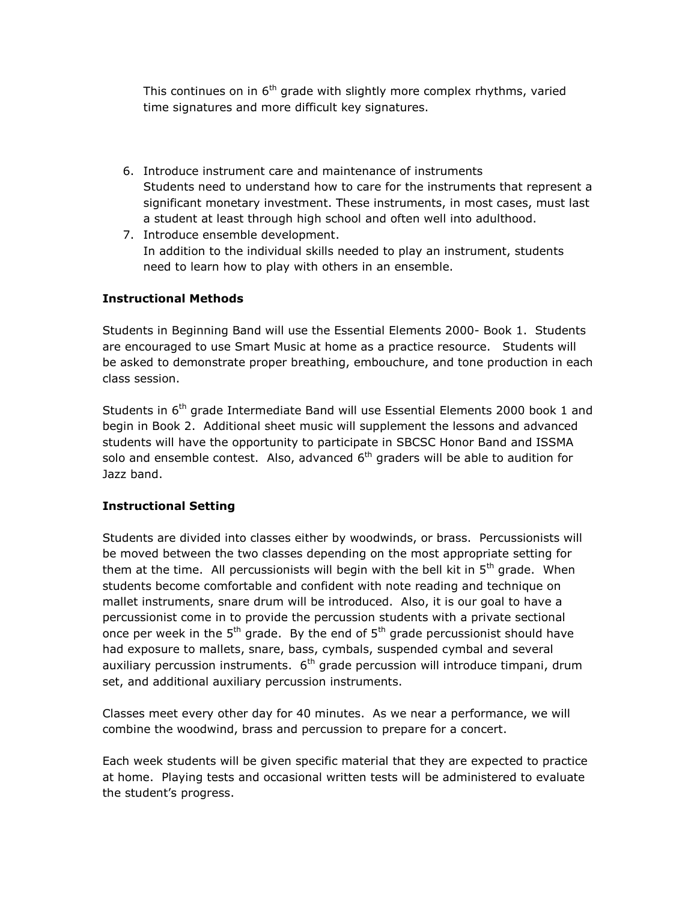This continues on in  $6<sup>th</sup>$  grade with slightly more complex rhythms, varied time signatures and more difficult key signatures.

- 6. Introduce instrument care and maintenance of instruments Students need to understand how to care for the instruments that represent a significant monetary investment. These instruments, in most cases, must last a student at least through high school and often well into adulthood.
- 7. Introduce ensemble development. In addition to the individual skills needed to play an instrument, students need to learn how to play with others in an ensemble.

#### **Instructional Methods**

Students in Beginning Band will use the Essential Elements 2000- Book 1. Students are encouraged to use Smart Music at home as a practice resource. Students will be asked to demonstrate proper breathing, embouchure, and tone production in each class session.

Students in  $6<sup>th</sup>$  grade Intermediate Band will use Essential Elements 2000 book 1 and begin in Book 2. Additional sheet music will supplement the lessons and advanced students will have the opportunity to participate in SBCSC Honor Band and ISSMA solo and ensemble contest. Also, advanced  $6<sup>th</sup>$  graders will be able to audition for Jazz band.

#### **Instructional Setting**

Students are divided into classes either by woodwinds, or brass. Percussionists will be moved between the two classes depending on the most appropriate setting for them at the time. All percussionists will begin with the bell kit in  $5<sup>th</sup>$  grade. When students become comfortable and confident with note reading and technique on mallet instruments, snare drum will be introduced. Also, it is our goal to have a percussionist come in to provide the percussion students with a private sectional once per week in the  $5<sup>th</sup>$  grade. By the end of  $5<sup>th</sup>$  grade percussionist should have had exposure to mallets, snare, bass, cymbals, suspended cymbal and several auxiliary percussion instruments.  $6<sup>th</sup>$  grade percussion will introduce timpani, drum set, and additional auxiliary percussion instruments.

Classes meet every other day for 40 minutes. As we near a performance, we will combine the woodwind, brass and percussion to prepare for a concert.

Each week students will be given specific material that they are expected to practice at home. Playing tests and occasional written tests will be administered to evaluate the student's progress.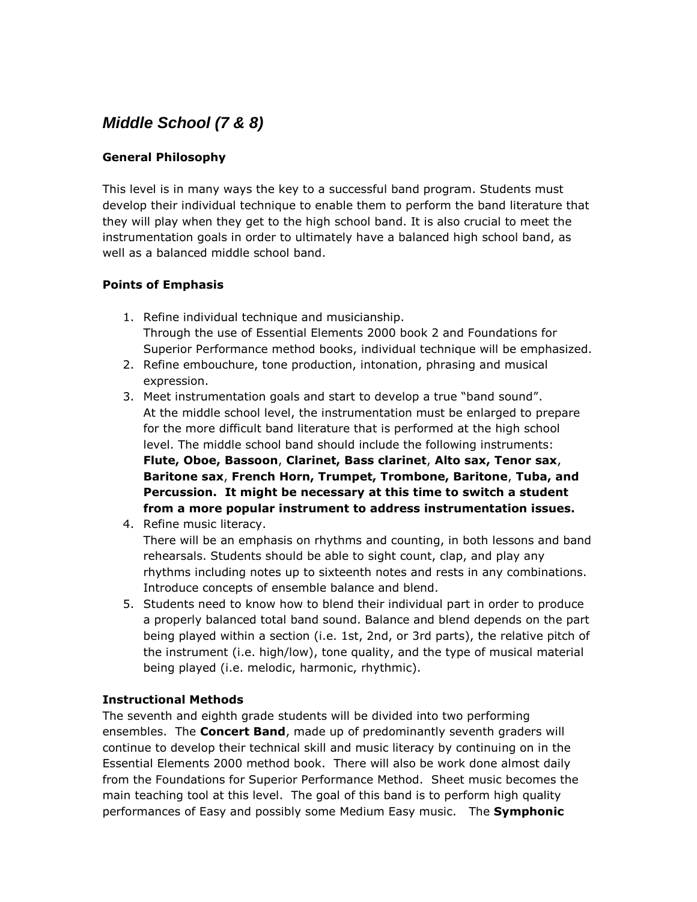# *Middle School (7 & 8)*

#### **General Philosophy**

This level is in many ways the key to a successful band program. Students must develop their individual technique to enable them to perform the band literature that they will play when they get to the high school band. It is also crucial to meet the instrumentation goals in order to ultimately have a balanced high school band, as well as a balanced middle school band.

#### **Points of Emphasis**

- 1. Refine individual technique and musicianship. Through the use of Essential Elements 2000 book 2 and Foundations for Superior Performance method books, individual technique will be emphasized.
- 2. Refine embouchure, tone production, intonation, phrasing and musical expression.
- 3. Meet instrumentation goals and start to develop a true "band sound". At the middle school level, the instrumentation must be enlarged to prepare for the more difficult band literature that is performed at the high school level. The middle school band should include the following instruments: **Flute, Oboe, Bassoon**, **Clarinet, Bass clarinet**, **Alto sax, Tenor sax**, **Baritone sax**, **French Horn, Trumpet, Trombone, Baritone**, **Tuba, and Percussion. It might be necessary at this time to switch a student from a more popular instrument to address instrumentation issues.**
- 4. Refine music literacy.

There will be an emphasis on rhythms and counting, in both lessons and band rehearsals. Students should be able to sight count, clap, and play any rhythms including notes up to sixteenth notes and rests in any combinations. Introduce concepts of ensemble balance and blend.

5. Students need to know how to blend their individual part in order to produce a properly balanced total band sound. Balance and blend depends on the part being played within a section (i.e. 1st, 2nd, or 3rd parts), the relative pitch of the instrument (i.e. high/low), tone quality, and the type of musical material being played (i.e. melodic, harmonic, rhythmic).

#### **Instructional Methods**

The seventh and eighth grade students will be divided into two performing ensembles. The **Concert Band**, made up of predominantly seventh graders will continue to develop their technical skill and music literacy by continuing on in the Essential Elements 2000 method book. There will also be work done almost daily from the Foundations for Superior Performance Method. Sheet music becomes the main teaching tool at this level. The goal of this band is to perform high quality performances of Easy and possibly some Medium Easy music. The **Symphonic**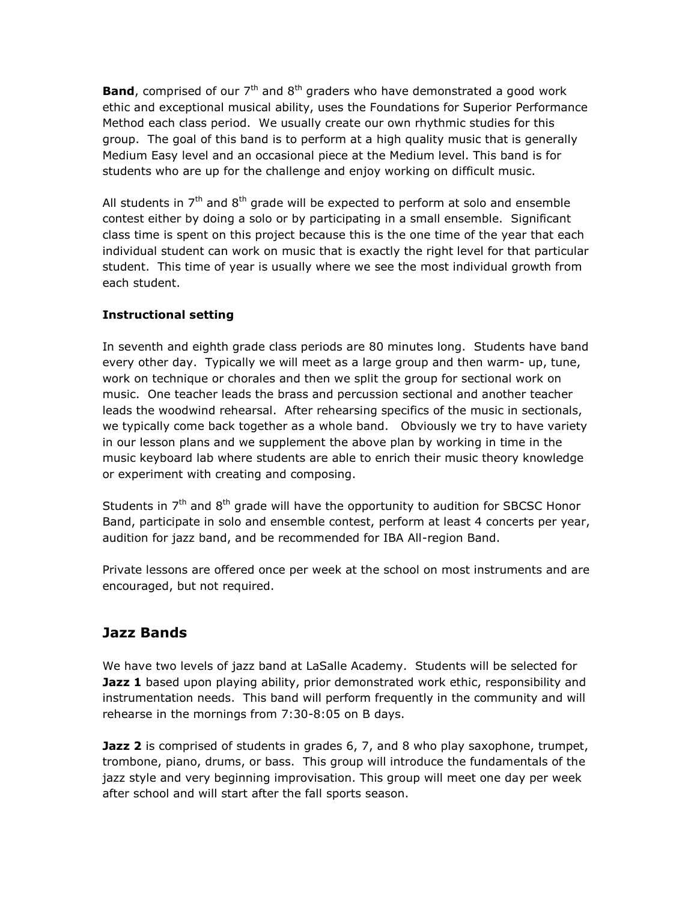**Band**, comprised of our  $7<sup>th</sup>$  and  $8<sup>th</sup>$  graders who have demonstrated a good work ethic and exceptional musical ability, uses the Foundations for Superior Performance Method each class period. We usually create our own rhythmic studies for this group. The goal of this band is to perform at a high quality music that is generally Medium Easy level and an occasional piece at the Medium level. This band is for students who are up for the challenge and enjoy working on difficult music.

All students in  $7<sup>th</sup>$  and  $8<sup>th</sup>$  grade will be expected to perform at solo and ensemble contest either by doing a solo or by participating in a small ensemble. Significant class time is spent on this project because this is the one time of the year that each individual student can work on music that is exactly the right level for that particular student. This time of year is usually where we see the most individual growth from each student.

#### **Instructional setting**

In seventh and eighth grade class periods are 80 minutes long. Students have band every other day. Typically we will meet as a large group and then warm- up, tune, work on technique or chorales and then we split the group for sectional work on music. One teacher leads the brass and percussion sectional and another teacher leads the woodwind rehearsal. After rehearsing specifics of the music in sectionals, we typically come back together as a whole band. Obviously we try to have variety in our lesson plans and we supplement the above plan by working in time in the music keyboard lab where students are able to enrich their music theory knowledge or experiment with creating and composing.

Students in  $7<sup>th</sup>$  and  $8<sup>th</sup>$  grade will have the opportunity to audition for SBCSC Honor Band, participate in solo and ensemble contest, perform at least 4 concerts per year, audition for jazz band, and be recommended for IBA All-region Band.

Private lessons are offered once per week at the school on most instruments and are encouraged, but not required.

### **Jazz Bands**

We have two levels of jazz band at LaSalle Academy. Students will be selected for **Jazz 1** based upon playing ability, prior demonstrated work ethic, responsibility and instrumentation needs. This band will perform frequently in the community and will rehearse in the mornings from 7:30-8:05 on B days.

**Jazz 2** is comprised of students in grades 6, 7, and 8 who play saxophone, trumpet, trombone, piano, drums, or bass. This group will introduce the fundamentals of the jazz style and very beginning improvisation. This group will meet one day per week after school and will start after the fall sports season.